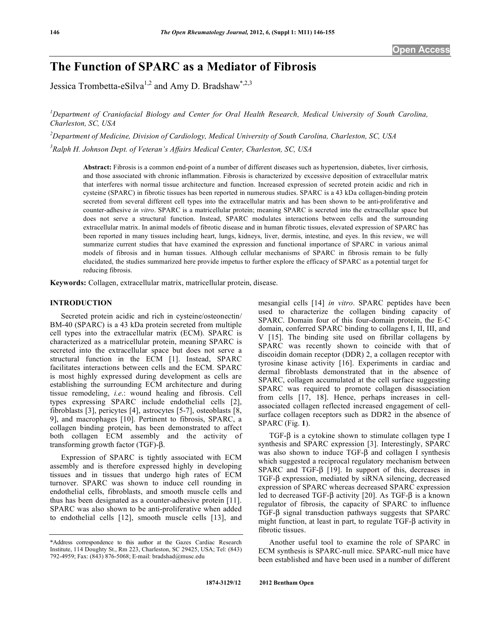# **The Function of SPARC as a Mediator of Fibrosis**

Jessica Trombetta-eSilva<sup>1,2</sup> and Amy D. Bradshaw<sup>\*,2,3</sup>

<sup>1</sup> Department of Craniofacial Biology and Center for Oral Health Research, Medical University of South Carolina, *Charleston, SC, USA* 

*2 Department of Medicine, Division of Cardiology, Medical University of South Carolina, Charleston, SC, USA 3 Ralph H. Johnson Dept. of Veteran's Affairs Medical Center, Charleston, SC, USA* 

**Abstract:** Fibrosis is a common end-point of a number of different diseases such as hypertension, diabetes, liver cirrhosis, and those associated with chronic inflammation. Fibrosis is characterized by excessive deposition of extracellular matrix that interferes with normal tissue architecture and function. Increased expression of secreted protein acidic and rich in cysteine (SPARC) in fibrotic tissues has been reported in numerous studies. SPARC is a 43 kDa collagen-binding protein secreted from several different cell types into the extracellular matrix and has been shown to be anti-proliferative and counter-adhesive *in vitro*. SPARC is a matricellular protein; meaning SPARC is secreted into the extracellular space but does not serve a structural function. Instead, SPARC modulates interactions between cells and the surrounding extracellular matrix. In animal models of fibrotic disease and in human fibrotic tissues, elevated expression of SPARC has been reported in many tissues including heart, lungs, kidneys, liver, dermis, intestine, and eyes. In this review, we will summarize current studies that have examined the expression and functional importance of SPARC in various animal models of fibrosis and in human tissues. Although cellular mechanisms of SPARC in fibrosis remain to be fully elucidated, the studies summarized here provide impetus to further explore the efficacy of SPARC as a potential target for reducing fibrosis.

**Keywords:** Collagen, extracellular matrix, matricellular protein, disease.

# **INTRODUCTION**

 Secreted protein acidic and rich in cysteine/osteonectin/ BM-40 (SPARC) is a 43 kDa protein secreted from multiple cell types into the extracellular matrix (ECM). SPARC is characterized as a matricellular protein, meaning SPARC is secreted into the extracellular space but does not serve a structural function in the ECM [1]. Instead, SPARC facilitates interactions between cells and the ECM. SPARC is most highly expressed during development as cells are establishing the surrounding ECM architecture and during tissue remodeling, *i.e*.: wound healing and fibrosis. Cell types expressing SPARC include endothelial cells [2], fibroblasts [3], pericytes [4], astrocytes [5-7], osteoblasts [8, 9], and macrophages [10]. Pertinent to fibrosis, SPARC, a collagen binding protein, has been demonstrated to affect both collagen ECM assembly and the activity of transforming growth factor  $(TGF)-\beta$ .

 Expression of SPARC is tightly associated with ECM assembly and is therefore expressed highly in developing tissues and in tissues that undergo high rates of ECM turnover. SPARC was shown to induce cell rounding in endothelial cells, fibroblasts, and smooth muscle cells and thus has been designated as a counter-adhesive protein [11]. SPARC was also shown to be anti-proliferative when added to endothelial cells [12], smooth muscle cells [13], and

mesangial cells [14] *in vitro*. SPARC peptides have been used to characterize the collagen binding capacity of SPARC. Domain four of this four-domain protein, the E-C domain, conferred SPARC binding to collagens I, II, III, and V [15]. The binding site used on fibrillar collagens by SPARC was recently shown to coincide with that of discoidin domain receptor (DDR) 2, a collagen receptor with tyrosine kinase activity [16]. Experiments in cardiac and dermal fibroblasts demonstrated that in the absence of SPARC, collagen accumulated at the cell surface suggesting SPARC was required to promote collagen disassociation from cells [17, 18]. Hence, perhaps increases in cellassociated collagen reflected increased engagement of cellsurface collagen receptors such as DDR2 in the absence of SPARC (Fig. **1**).

TGF- $\beta$  is a cytokine shown to stimulate collagen type I synthesis and SPARC expression [3]. Interestingly, SPARC was also shown to induce  $TGF- $\beta$  and collagen I synthesis$ which suggested a reciprocal regulatory mechanism between SPARC and TGF- $\beta$  [19]. In support of this, decreases in  $TGF- $\beta$  expression, mediated by siRNA silencing, decreased$ expression of SPARC whereas decreased SPARC expression led to decreased TGF- $\beta$  activity [20]. As TGF- $\beta$  is a known regulator of fibrosis, the capacity of SPARC to influence  $TGF- $\beta$  signal transduction pathways suggests that SPARC$ might function, at least in part, to regulate  $TGF- $\beta$  activity in$ fibrotic tissues.

 Another useful tool to examine the role of SPARC in ECM synthesis is SPARC-null mice. SPARC-null mice have been established and have been used in a number of different

<sup>\*</sup>Address correspondence to this author at the Gazes Cardiac Research Institute, 114 Doughty St., Rm 223, Charleston, SC 29425, USA; Tel: (843) 792-4959; Fax: (843) 876-5068; E-mail: bradshad@musc.edu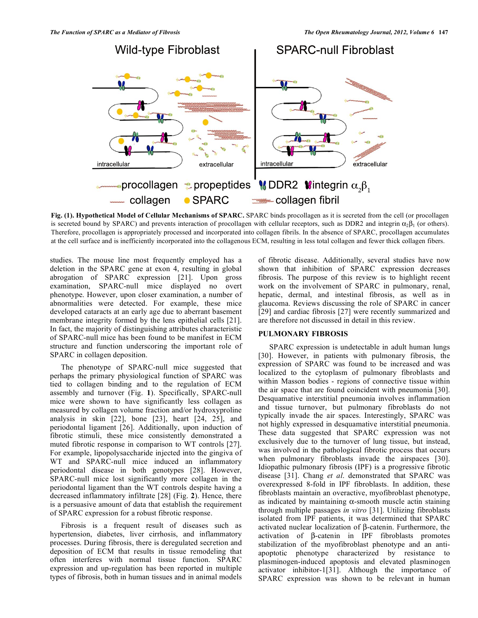

**Fig. (1). Hypothetical Model of Cellular Mechanisms of SPARC.** SPARC binds procollagen as it is secreted from the cell (or procollagen is secreted bound by SPARC) and prevents interaction of procollagen with cellular receptors, such as DDR2 and integrin  $\alpha_2\beta_1$  (or others). Therefore, procollagen is appropriately processed and incorporated into collagen fibrils. In the absence of SPARC, procollagen accumulates at the cell surface and is inefficiently incorporated into the collagenous ECM, resulting in less total collagen and fewer thick collagen fibers.

studies. The mouse line most frequently employed has a deletion in the SPARC gene at exon 4, resulting in global abrogation of SPARC expression [21]. Upon gross examination, SPARC-null mice displayed no overt phenotype. However, upon closer examination, a number of abnormalities were detected. For example, these mice developed cataracts at an early age due to aberrant basement membrane integrity formed by the lens epithelial cells [21]. In fact, the majority of distinguishing attributes characteristic of SPARC-null mice has been found to be manifest in ECM structure and function underscoring the important role of SPARC in collagen deposition.

 The phenotype of SPARC-null mice suggested that perhaps the primary physiological function of SPARC was tied to collagen binding and to the regulation of ECM assembly and turnover (Fig. **1**). Specifically, SPARC-null mice were shown to have significantly less collagen as measured by collagen volume fraction and/or hydroxyproline analysis in skin [22], bone [23], heart [24, 25], and periodontal ligament [26]. Additionally, upon induction of fibrotic stimuli, these mice consistently demonstrated a muted fibrotic response in comparison to WT controls [27]. For example, lipopolysaccharide injected into the gingiva of WT and SPARC-null mice induced an inflammatory periodontal disease in both genotypes [28]. However, SPARC-null mice lost significantly more collagen in the periodontal ligament than the WT controls despite having a decreased inflammatory infiltrate [28] (Fig. **2**). Hence, there is a persuasive amount of data that establish the requirement of SPARC expression for a robust fibrotic response.

 Fibrosis is a frequent result of diseases such as hypertension, diabetes, liver cirrhosis, and inflammatory processes. During fibrosis, there is deregulated secretion and deposition of ECM that results in tissue remodeling that often interferes with normal tissue function. SPARC expression and up-regulation has been reported in multiple types of fibrosis, both in human tissues and in animal models

of fibrotic disease. Additionally, several studies have now shown that inhibition of SPARC expression decreases fibrosis. The purpose of this review is to highlight recent work on the involvement of SPARC in pulmonary, renal, hepatic, dermal, and intestinal fibrosis, as well as in glaucoma. Reviews discussing the role of SPARC in cancer [29] and cardiac fibrosis [27] were recently summarized and are therefore not discussed in detail in this review.

# **PULMONARY FIBROSIS**

 SPARC expression is undetectable in adult human lungs [30]. However, in patients with pulmonary fibrosis, the expression of SPARC was found to be increased and was localized to the cytoplasm of pulmonary fibroblasts and within Masson bodies - regions of connective tissue within the air space that are found coincident with pneumonia [30]. Desquamative interstitial pneumonia involves inflammation and tissue turnover, but pulmonary fibroblasts do not typically invade the air spaces. Interestingly, SPARC was not highly expressed in desquamative interstitial pneumonia. These data suggested that SPARC expression was not exclusively due to the turnover of lung tissue, but instead, was involved in the pathological fibrotic process that occurs when pulmonary fibroblasts invade the airspaces [30]. Idiopathic pulmonary fibrosis (IPF) is a progressive fibrotic disease [31]. Chang *et al*. demonstrated that SPARC was overexpressed 8-fold in IPF fibroblasts. In addition, these fibroblasts maintain an overactive, myofibroblast phenotype, as indicated by maintaining  $\alpha$ -smooth muscle actin staining through multiple passages *in vitro* [31]. Utilizing fibroblasts isolated from IPF patients, it was determined that SPARC activated nuclear localization of  $\beta$ -catenin. Furthermore, the  $\arct{a}$  activation of  $\beta$ -catenin in IPF fibroblasts promotes stabilization of the myofibroblast phenotype and an antiapoptotic phenotype characterized by resistance to plasminogen-induced apoptosis and elevated plasminogen activator inhibitor-1[31]. Although the importance of SPARC expression was shown to be relevant in human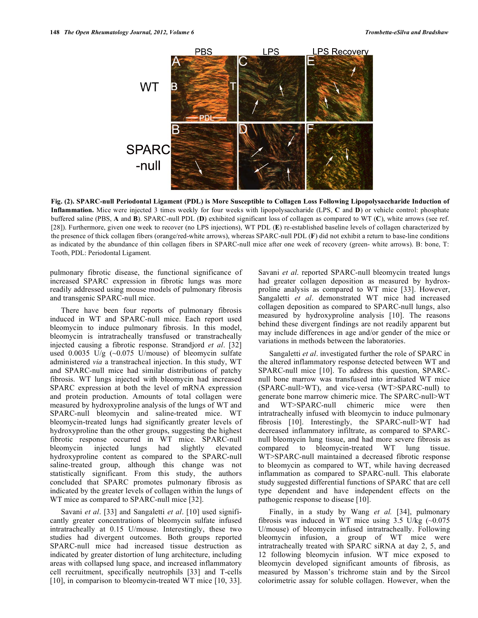

**Fig. (2). SPARC-null Periodontal Ligament (PDL) is More Susceptible to Collagen Loss Following Lipopolysaccharide Induction of Inflammation.** Mice were injected 3 times weekly for four weeks with lipopolysaccharide (LPS, **C** and **D**) or vehicle control: phosphate buffered saline (PBS, **A** and **B**). SPARC-null PDL (**D**) exhibited significant loss of collagen as compared to WT (**C**), white arrows (see ref. [28]). Furthermore, given one week to recover (no LPS injections), WT PDL (**E**) re-established baseline levels of collagen characterized by the presence of thick collagen fibers (orange/red-white arrows), whereas SPARC-null PDL (**F**) did not exhibit a return to base-line conditions as indicated by the abundance of thin collagen fibers in SPARC-null mice after one week of recovery (green- white arrows). B: bone, T: Tooth, PDL: Periodontal Ligament.

pulmonary fibrotic disease, the functional significance of increased SPARC expression in fibrotic lungs was more readily addressed using mouse models of pulmonary fibrosis and transgenic SPARC-null mice.

 There have been four reports of pulmonary fibrosis induced in WT and SPARC-null mice. Each report used bleomycin to induce pulmonary fibrosis. In this model, bleomycin is intratracheally transfused or transtracheally injected causing a fibrotic response. Strandjord *et al*. [32] used  $0.0035$  U/g (~0.075 U/mouse) of bleomycin sulfate administered *via* a transtracheal injection. In this study, WT and SPARC-null mice had similar distributions of patchy fibrosis. WT lungs injected with bleomycin had increased SPARC expression at both the level of mRNA expression and protein production. Amounts of total collagen were measured by hydroxyproline analysis of the lungs of WT and SPARC-null bleomycin and saline-treated mice. WT bleomycin-treated lungs had significantly greater levels of hydroxyproline than the other groups, suggesting the highest fibrotic response occurred in WT mice. SPARC-null bleomycin injected lungs had slightly elevated hydroxyproline content as compared to the SPARC-null saline-treated group, although this change was not statistically significant. From this study, the authors concluded that SPARC promotes pulmonary fibrosis as indicated by the greater levels of collagen within the lungs of WT mice as compared to SPARC-null mice [32].

 Savani *et al*. [33] and Sangaletti *et al*. [10] used significantly greater concentrations of bleomycin sulfate infused intratracheally at 0.15 U/mouse. Interestingly, these two studies had divergent outcomes. Both groups reported SPARC-null mice had increased tissue destruction as indicated by greater distortion of lung architecture, including areas with collapsed lung space, and increased inflammatory cell recruitment, specifically neutrophils [33] and T-cells [10], in comparison to bleomycin-treated WT mice [10, 33].

Savani *et al*. reported SPARC-null bleomycin treated lungs had greater collagen deposition as measured by hydroxproline analysis as compared to WT mice [33]. However, Sangaletti *et al*. demonstrated WT mice had increased collagen deposition as compared to SPARC-null lungs, also measured by hydroxyproline analysis [10]. The reasons behind these divergent findings are not readily apparent but may include differences in age and/or gender of the mice or variations in methods between the laboratories.

 Sangaletti *et al*. investigated further the role of SPARC in the altered inflammatory response detected between WT and SPARC-null mice [10]. To address this question, SPARCnull bone marrow was transfused into irradiated WT mice (SPARC-null>WT), and vice-versa (WT>SPARC-null) to generate bone marrow chimeric mice. The SPARC-null>WT and WT>SPARC-null chimeric mice were then intratracheally infused with bleomycin to induce pulmonary fibrosis [10]. Interestingly, the SPARC-null>WT had decreased inflammatory infiltrate, as compared to SPARCnull bleomycin lung tissue, and had more severe fibrosis as compared to bleomycin-treated WT lung tissue. WT>SPARC-null maintained a decreased fibrotic response to bleomycin as compared to WT, while having decreased inflammation as compared to SPARC-null. This elaborate study suggested differential functions of SPARC that are cell type dependent and have independent effects on the pathogenic response to disease [10].

Finally, in a study by Wang et al. [34], pulmonary fibrosis was induced in WT mice using  $3.5$  U/kg ( $\sim 0.075$ ) U/mouse) of bleomycin infused intratracheally. Following bleomycin infusion, a group of WT mice were intratracheally treated with SPARC siRNA at day 2, 5, and 12 following bleomycin infusion. WT mice exposed to bleomycin developed significant amounts of fibrosis, as measured by Masson's trichrome stain and by the Sircol colorimetric assay for soluble collagen. However, when the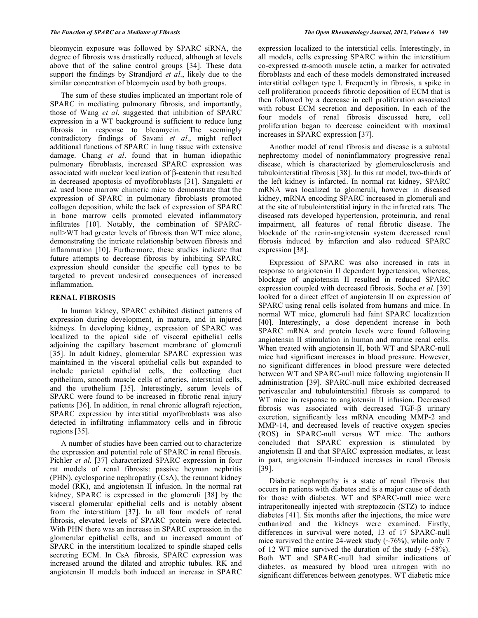bleomycin exposure was followed by SPARC siRNA, the degree of fibrosis was drastically reduced, although at levels above that of the saline control groups [34]. These data support the findings by Strandjord *et al*., likely due to the similar concentration of bleomycin used by both groups.

 The sum of these studies implicated an important role of SPARC in mediating pulmonary fibrosis, and importantly, those of Wang *et al*. suggested that inhibition of SPARC expression in a WT background is sufficient to reduce lung fibrosis in response to bleomycin. The seemingly contradictory findings of Savani *et al*., might reflect additional functions of SPARC in lung tissue with extensive damage. Chang *et al*. found that in human idiopathic pulmonary fibroblasts, increased SPARC expression was associated with nuclear localization of  $\beta$ -catenin that resulted in decreased apoptosis of myofibroblasts [31]. Sangaletti *et al*. used bone marrow chimeric mice to demonstrate that the expression of SPARC in pulmonary fibroblasts promoted collagen deposition, while the lack of expression of SPARC in bone marrow cells promoted elevated inflammatory infiltrates [10]. Notably, the combination of SPARCnull>WT had greater levels of fibrosis than WT mice alone, demonstrating the intricate relationship between fibrosis and inflammation [10]. Furthermore, these studies indicate that future attempts to decrease fibrosis by inhibiting SPARC expression should consider the specific cell types to be targeted to prevent undesired consequences of increased inflammation.

# **RENAL FIBROSIS**

 In human kidney, SPARC exhibited distinct patterns of expression during development, in mature, and in injured kidneys. In developing kidney, expression of SPARC was localized to the apical side of visceral epithelial cells adjoining the capillary basement membrane of glomeruli [35]. In adult kidney, glomerular SPARC expression was maintained in the visceral epithelial cells but expanded to include parietal epithelial cells, the collecting duct epithelium, smooth muscle cells of arteries, interstitial cells, and the urothelium [35]. Interestingly, serum levels of SPARC were found to be increased in fibrotic renal injury patients [36]. In addition, in renal chronic allograft rejection, SPARC expression by interstitial myofibroblasts was also detected in infiltrating inflammatory cells and in fibrotic regions [35].

 A number of studies have been carried out to characterize the expression and potential role of SPARC in renal fibrosis. Pichler *et al*. [37] characterized SPARC expression in four rat models of renal fibrosis: passive heyman nephritis (PHN), cyclosporine nephropathy (CsA), the remnant kidney model (RK), and angiotensin II infusion. In the normal rat kidney, SPARC is expressed in the glomeruli [38] by the visceral glomerular epithelial cells and is notably absent from the interstitium [37]. In all four models of renal fibrosis, elevated levels of SPARC protein were detected. With PHN there was an increase in SPARC expression in the glomerular epithelial cells, and an increased amount of SPARC in the interstitium localized to spindle shaped cells secreting ECM. In CsA fibrosis, SPARC expression was increased around the dilated and atrophic tubules. RK and angiotensin II models both induced an increase in SPARC

expression localized to the interstitial cells. Interestingly, in all models, cells expressing SPARC within the interstitium co-expressed  $\alpha$ -smooth muscle actin, a marker for activated fibroblasts and each of these models demonstrated increased interstitial collagen type I. Frequently in fibrosis, a spike in cell proliferation proceeds fibrotic deposition of ECM that is then followed by a decrease in cell proliferation associated with robust ECM secretion and deposition. In each of the four models of renal fibrosis discussed here, cell proliferation began to decrease coincident with maximal increases in SPARC expression [37].

 Another model of renal fibrosis and disease is a subtotal nephrectomy model of noninflammatory progressive renal disease, which is characterized by glomerulosclerosis and tubulointerstitial fibrosis [38]. In this rat model, two-thirds of the left kidney is infarcted. In normal rat kidney, SPARC mRNA was localized to glomeruli, however in diseased kidney, mRNA encoding SPARC increased in glomeruli and at the site of tubulointerstitial injury in the infarcted rats. The diseased rats developed hypertension, proteinuria, and renal impairment, all features of renal fibrotic disease. The blockade of the renin-angiotensin system decreased renal fibrosis induced by infarction and also reduced SPARC expression [38].

 Expression of SPARC was also increased in rats in response to angiotensin II dependent hypertension, whereas, blockage of angiotensin II resulted in reduced SPARC expression coupled with decreased fibrosis. Socha *et al.* [39] looked for a direct effect of angiotensin II on expression of SPARC using renal cells isolated from humans and mice. In normal WT mice, glomeruli had faint SPARC localization [40]. Interestingly, a dose dependent increase in both SPARC mRNA and protein levels were found following angiotensin II stimulation in human and murine renal cells. When treated with angiotensin II, both WT and SPARC-null mice had significant increases in blood pressure. However, no significant differences in blood pressure were detected between WT and SPARC-null mice following angiotensin II administration [39]. SPARC-null mice exhibited decreased perivascular and tubulointerstitial fibrosis as compared to WT mice in response to angiotensin II infusion. Decreased fibrosis was associated with decreased  $TGF- $\beta$  urinary$ excretion, significantly less mRNA encoding MMP-2 and MMP-14, and decreased levels of reactive oxygen species (ROS) in SPARC-null versus WT mice. The authors concluded that SPARC expression is stimulated by angiotensin II and that SPARC expression mediates, at least in part, angiotensin II-induced increases in renal fibrosis [39].

 Diabetic nephropathy is a state of renal fibrosis that occurs in patients with diabetes and is a major cause of death for those with diabetes. WT and SPARC-null mice were intraperitoneally injected with streptozocin (STZ) to induce diabetes [41]. Six months after the injections, the mice were euthanized and the kidneys were examined. Firstly, differences in survival were noted, 13 of 17 SPARC-null mice survived the entire 24-week study  $(\sim 76\%)$ , while only 7 of 12 WT mice survived the duration of the study  $(-58\%)$ . Both WT and SPARC-null had similar indications of diabetes, as measured by blood urea nitrogen with no significant differences between genotypes. WT diabetic mice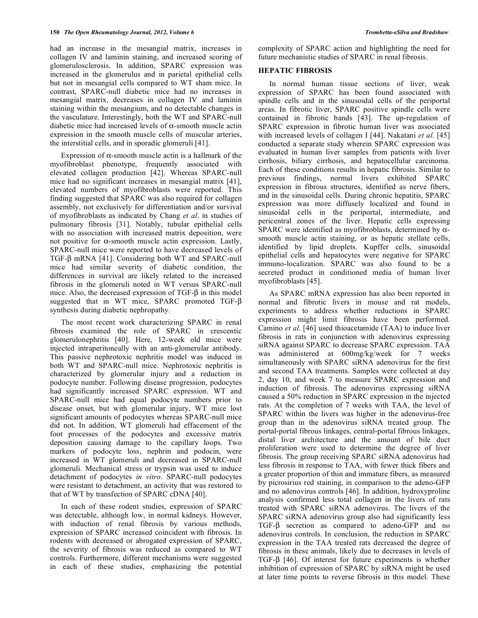had an increase in the mesangial matrix, increases in collagen IV and laminin staining, and increased scoring of glomerulosclerosis. In addition, SPARC expression was increased in the glomerulus and in parietal epithelial cells but not in mesangial cells compared to WT sham mice. In contrast, SPARC-null diabetic mice had no increases in mesangial matrix, decreases in collagen IV and laminin staining within the mesangium, and no detectable changes in the vasculature. Interestingly, both the WT and SPARC-null diabetic mice had increased levels of  $\alpha$ -smooth muscle actin expression in the smooth muscle cells of muscular arteries, the interstitial cells, and in sporadic glomeruli [41].

Expression of  $\alpha$ -smooth muscle actin is a hallmark of the myofibroblast phenotype, frequently associated with elevated collagen production [42]. Whereas SPARC-null mice had no significant increases in mesangial matrix [41], elevated numbers of myofibroblasts were reported. This finding suggested that SPARC was also required for collagen assembly, not exclusively for differentiation and/or survival of myofibroblasts as indicated by Chang *et al*. in studies of pulmonary fibrosis [31]. Notably, tubular epithelial cells with no association with increased matrix deposition, were not positive for  $\alpha$ -smooth muscle actin expression. Lastly, SPARC-null mice were reported to have decreased levels of TGF- $\beta$  mRNA [41]. Considering both WT and SPARC-null mice had similar severity of diabetic condition, the differences in survival are likely related to the increased fibrosis in the glomeruli noted in WT versus SPARC-null mice. Also, the decreased expression of  $TGF- $\beta$  in this model$ suggested that in WT mice, SPARC promoted TGF- $\beta$ synthesis during diabetic nephropathy.

 The most recent work characterizing SPARC in renal fibrosis examined the role of SPARC in crescentic glomerulonephritis [40]. Here, 12-week old mice were injected intraperitoneally with an anti-glomerular antibody. This passive nephrotoxic nephritis model was induced in both WT and SPARC-null mice. Nephrotoxic nephritis is characterized by glomerular injury and a reduction in podocyte number. Following disease progression, podocytes had significantly increased SPARC expression. WT and SPARC-null mice had equal podocyte numbers prior to disease onset, but with glomerular injury, WT mice lost significant amounts of podocytes whereas SPARC-null mice did not. In addition, WT glomeruli had effacement of the foot processes of the podocytes and excessive matrix deposition causing damage to the capillary loops. Two markers of podocyte loss, nephrin and podocin, were increased in WT glomeruli and decreased in SPARC-null glomeruli. Mechanical stress or trypsin was used to induce detachment of podocytes *in vitro*. SPARC-null podocytes were resistant to detachment, an activity that was restored to that of WT by transfection of SPARC cDNA [40].

 In each of these rodent studies, expression of SPARC was detectable, although low, in normal kidneys. However, with induction of renal fibrosis by various methods, expression of SPARC increased coincident with fibrosis. In rodents with decreased or abrogated expression of SPARC, the severity of fibrosis was reduced as compared to WT controls. Furthermore, different mechanisms were suggested in each of these studies, emphasizing the potential

complexity of SPARC action and highlighting the need for future mechanistic studies of SPARC in renal fibrosis.

# **HEPATIC FIBROSIS**

 In normal human tissue sections of liver, weak expression of SPARC has been found associated with spindle cells and in the sinusoidal cells of the periportal areas. In fibrotic liver, SPARC positive spindle cells were contained in fibrotic bands [43]. The up-regulation of SPARC expression in fibrotic human liver was associated with increased levels of collagen I [44]. Nakatani *et al.* [45] conducted a separate study wherein SPARC expression was evaluated in human liver samples from patients with liver cirrhosis, biliary cirrhosis, and hepatocellular carcinoma. Each of these conditions results in hepatic fibrosis. Similar to previous findings, normal livers exhibited SPARC expression in fibrous structures, identified as nerve fibers, and in the sinusoidal cells. During chronic hepatitis, SPARC expression was more diffusely localized and found in sinusoidal cells in the periportal, intermediate, and pericentral zones of the liver. Hepatic cells expressing SPARC were identified as myofibroblasts, determined by  $\alpha$ smooth muscle actin staining, or as hepatic stellate cells, identified by lipid droplets. Kupffer cells, sinusoidal epithelial cells and hepatocytes were negative for SPARC immuno-localization. SPARC was also found to be a secreted product in conditioned media of human liver myofibroblasts [45].

 As SPARC mRNA expression has also been reported in normal and fibrotic livers in mouse and rat models, experiments to address whether reductions in SPARC expression might limit fibrosis have been performed. Camino *et al*. [46] used thioacetamide (TAA) to induce liver fibrosis in rats in conjunction with adenovirus expressing siRNA against SPARC to decrease SPARC expression. TAA was administered at 600mg/kg/week for 7 weeks simultaneously with SPARC siRNA adenovirus for the first and second TAA treatments. Samples were collected at day 2, day 10, and week 7 to measure SPARC expression and induction of fibrosis. The adenovirus expressing siRNA caused a 50% reduction in SPARC expression in the injected rats. At the completion of 7 weeks with TAA, the level of SPARC within the livers was higher in the adenovirus-free group than in the adenovirus siRNA treated group. The portal-portal fibrous linkages, central-portal fibrous linkages, distal liver architecture and the amount of bile duct proliferation were used to determine the degree of liver fibrosis. The group receiving SPARC siRNA adenovirus had less fibrosis in response to TAA, with fewer thick fibers and a greater proportion of thin and immature fibers, as measured by picrosirius red staining, in comparison to the adeno-GFP and no adenovirus controls [46]. In addition, hydroxyproline analysis confirmed less total collagen in the livers of rats treated with SPARC siRNA adenovirus. The livers of the SPARC siRNA adenovirus group also had significantly less  $TGF- $\beta$  secretion as compared to adeno-GFP and no$ adenovirus controls. In conclusion, the reduction in SPARC expression in the TAA treated rats decreased the degree of fibrosis in these animals, likely due to decreases in levels of TGF- $\beta$  [46]. Of interest for future experiments is whether inhibition of expression of SPARC by siRNA might be used at later time points to reverse fibrosis in this model. These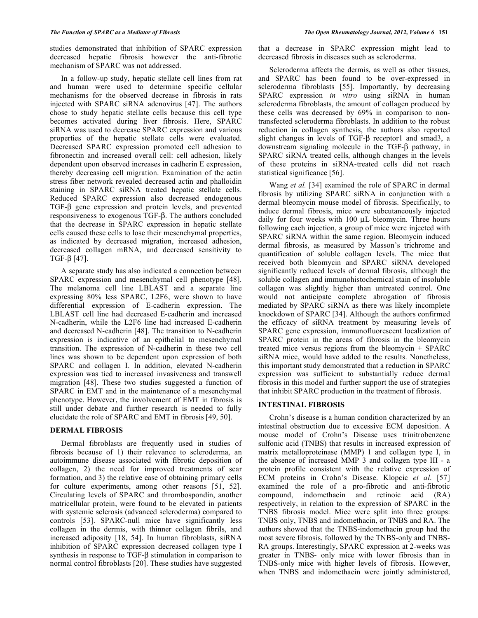studies demonstrated that inhibition of SPARC expression decreased hepatic fibrosis however the anti-fibrotic mechanism of SPARC was not addressed.

 In a follow-up study, hepatic stellate cell lines from rat and human were used to determine specific cellular mechanisms for the observed decrease in fibrosis in rats injected with SPARC siRNA adenovirus [47]. The authors chose to study hepatic stellate cells because this cell type becomes activated during liver fibrosis. Here, SPARC siRNA was used to decrease SPARC expression and various properties of the hepatic stellate cells were evaluated. Decreased SPARC expression promoted cell adhesion to fibronectin and increased overall cell: cell adhesion, likely dependent upon observed increases in cadherin E expression, thereby decreasing cell migration. Examination of the actin stress fiber network revealed decreased actin and phalloidin staining in SPARC siRNA treated hepatic stellate cells. Reduced SPARC expression also decreased endogenous  $TGF- $\beta$  gene expression and protein levels, and prevented$ responsiveness to exogenous TGF- $\beta$ . The authors concluded that the decrease in SPARC expression in hepatic stellate cells caused these cells to lose their mesenchymal properties, as indicated by decreased migration, increased adhesion, decreased collagen mRNA, and decreased sensitivity to TGF- $\beta$  [47].

 A separate study has also indicated a connection between SPARC expression and mesenchymal cell phenotype [48]. The melanoma cell line LBLAST and a separate line expressing 80% less SPARC, L2F6, were shown to have differential expression of E-cadherin expression. The LBLAST cell line had decreased E-cadherin and increased N-cadherin, while the L2F6 line had increased E-cadherin and decreased N-cadherin [48]. The transition to N-cadherin expression is indicative of an epithelial to mesenchymal transition. The expression of N-cadherin in these two cell lines was shown to be dependent upon expression of both SPARC and collagen I. In addition, elevated N-cadherin expression was tied to increased invasiveness and transwell migration [48]. These two studies suggested a function of SPARC in EMT and in the maintenance of a mesenchymal phenotype. However, the involvement of EMT in fibrosis is still under debate and further research is needed to fully elucidate the role of SPARC and EMT in fibrosis [49, 50].

# **DERMAL FIBROSIS**

 Dermal fibroblasts are frequently used in studies of fibrosis because of 1) their relevance to scleroderma, an autoimmune disease associated with fibrotic deposition of collagen, 2) the need for improved treatments of scar formation, and 3) the relative ease of obtaining primary cells for culture experiments, among other reasons [51, 52]. Circulating levels of SPARC and thrombospondin, another matricellular protein, were found to be elevated in patients with systemic sclerosis (advanced scleroderma) compared to controls [53]. SPARC-null mice have significantly less collagen in the dermis, with thinner collagen fibrils, and increased adiposity [18, 54]. In human fibroblasts, siRNA inhibition of SPARC expression decreased collagen type I synthesis in response to  $TGF- $\beta$  stimulation in comparison to$ normal control fibroblasts [20]. These studies have suggested

that a decrease in SPARC expression might lead to decreased fibrosis in diseases such as scleroderma.

 Scleroderma affects the dermis, as well as other tissues, and SPARC has been found to be over-expressed in scleroderma fibroblasts [55]. Importantly, by decreasing SPARC expression *in vitro* using siRNA in human scleroderma fibroblasts, the amount of collagen produced by these cells was decreased by 69% in comparison to nontransfected scleroderma fibroblasts. In addition to the robust reduction in collagen synthesis, the authors also reported slight changes in levels of TGF- $\beta$  receptor1 and smad3, a downstream signaling molecule in the TGF- $\beta$  pathway, in SPARC siRNA treated cells, although changes in the levels of these proteins in siRNA-treated cells did not reach statistical significance [56].

Wang *et al.* [34] examined the role of SPARC in dermal fibrosis by utilizing SPARC siRNA in conjunction with a dermal bleomycin mouse model of fibrosis. Specifically, to induce dermal fibrosis, mice were subcutaneously injected daily for four weeks with 100 μL bleomycin. Three hours following each injection, a group of mice were injected with SPARC siRNA within the same region. Bleomycin induced dermal fibrosis, as measured by Masson's trichrome and quantification of soluble collagen levels. The mice that received both bleomycin and SPARC siRNA developed significantly reduced levels of dermal fibrosis, although the soluble collagen and immunohistochemical stain of insoluble collagen was slightly higher than untreated control. One would not anticipate complete abrogation of fibrosis mediated by SPARC siRNA as there was likely incomplete knockdown of SPARC [34]. Although the authors confirmed the efficacy of siRNA treatment by measuring levels of SPARC gene expression, immunofluorescent localization of SPARC protein in the areas of fibrosis in the bleomycin treated mice versus regions from the bleomycin + SPARC siRNA mice, would have added to the results. Nonetheless, this important study demonstrated that a reduction in SPARC expression was sufficient to substantially reduce dermal fibrosis in this model and further support the use of strategies that inhibit SPARC production in the treatment of fibrosis.

## **INTESTINAL FIBROSIS**

 Crohn's disease is a human condition characterized by an intestinal obstruction due to excessive ECM deposition. A mouse model of Crohn's Disease uses trinitrobenzene sulfonic acid (TNBS) that results in increased expression of matrix metalloproteinase (MMP) 1 and collagen type I, in the absence of increased MMP 3 and collagen type III - a protein profile consistent with the relative expression of ECM proteins in Crohn's Disease. Klopcic *et al*. [57] examined the role of a pro-fibrotic and anti-fibrotic compound, indomethacin and retinoic acid (RA) respectively, in relation to the expression of SPARC in the TNBS fibrosis model. Mice were split into three groups: TNBS only, TNBS and indomethacin, or TNBS and RA. The authors showed that the TNBS-indomethacin group had the most severe fibrosis, followed by the TNBS-only and TNBS-RA groups. Interestingly, SPARC expression at 2-weeks was greater in TNBS- only mice with lower fibrosis than in TNBS-only mice with higher levels of fibrosis. However, when TNBS and indomethacin were jointly administered,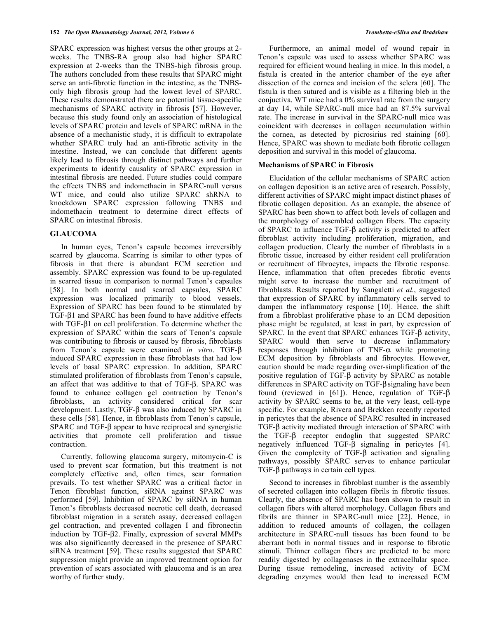SPARC expression was highest versus the other groups at 2 weeks. The TNBS-RA group also had higher SPARC expression at 2-weeks than the TNBS-high fibrosis group. The authors concluded from these results that SPARC might serve an anti-fibrotic function in the intestine, as the TNBSonly high fibrosis group had the lowest level of SPARC. These results demonstrated there are potential tissue-specific mechanisms of SPARC activity in fibrosis [57]. However, because this study found only an association of histological levels of SPARC protein and levels of SPARC mRNA in the absence of a mechanistic study, it is difficult to extrapolate whether SPARC truly had an anti-fibrotic activity in the intestine. Instead, we can conclude that different agents likely lead to fibrosis through distinct pathways and further experiments to identify causality of SPARC expression in intestinal fibrosis are needed. Future studies could compare the effects TNBS and indomethacin in SPARC-null versus WT mice, and could also utilize SPARC shRNA to knockdown SPARC expression following TNBS and indomethacin treatment to determine direct effects of SPARC on intestinal fibrosis.

# **GLAUCOMA**

 In human eyes, Tenon's capsule becomes irreversibly scarred by glaucoma. Scarring is similar to other types of fibrosis in that there is abundant ECM secretion and assembly. SPARC expression was found to be up-regulated in scarred tissue in comparison to normal Tenon's capsules [58]. In both normal and scarred capsules, SPARC expression was localized primarily to blood vessels. Expression of SPARC has been found to be stimulated by TGF- $\beta$ 1 and SPARC has been found to have additive effects with  $TGF- $\beta$ 1 on cell proliferation. To determine whether the$ expression of SPARC within the scars of Tenon's capsule was contributing to fibrosis or caused by fibrosis, fibroblasts from Tenon's capsule were examined *in vitro*. TGF- $\beta$ induced SPARC expression in these fibroblasts that had low levels of basal SPARC expression. In addition, SPARC stimulated proliferation of fibroblasts from Tenon's capsule, an affect that was additive to that of TGF- $\beta$ . SPARC was found to enhance collagen gel contraction by Tenon's fibroblasts, an activity considered critical for scar development. Lastly, TGF- $\beta$  was also induced by SPARC in these cells [58]. Hence, in fibroblasts from Tenon's capsule, SPARC and TGF- $\beta$  appear to have reciprocal and synergistic activities that promote cell proliferation and tissue contraction.

 Currently, following glaucoma surgery, mitomycin-C is used to prevent scar formation, but this treatment is not completely effective and, often times, scar formation prevails. To test whether SPARC was a critical factor in Tenon fibroblast function, siRNA against SPARC was performed [59]. Inhibition of SPARC by siRNA in human Tenon's fibroblasts decreased necrotic cell death, decreased fibroblast migration in a scratch assay, decreased collagen gel contraction, and prevented collagen I and fibronectin induction by TGF- $\beta$ 2. Finally, expression of several MMPs was also significantly decreased in the presence of SPARC siRNA treatment [59]. These results suggested that SPARC suppression might provide an improved treatment option for prevention of scars associated with glaucoma and is an area worthy of further study.

 Furthermore, an animal model of wound repair in Tenon's capsule was used to assess whether SPARC was required for efficient wound healing in mice. In this model, a fistula is created in the anterior chamber of the eye after dissection of the cornea and incision of the sclera [60]. The fistula is then sutured and is visible as a filtering bleb in the conjuctiva. WT mice had a 0% survival rate from the surgery at day 14, while SPARC-null mice had an 87.5% survival rate. The increase in survival in the SPARC-null mice was coincident with decreases in collagen accumulation within the cornea, as detected by picrosirius red staining [60]. Hence, SPARC was shown to mediate both fibrotic collagen deposition and survival in this model of glaucoma.

### **Mechanisms of SPARC in Fibrosis**

Elucidation of the cellular mechanisms of SPARC action on collagen deposition is an active area of research. Possibly, different activities of SPARC might impact distinct phases of fibrotic collagen deposition. As an example, the absence of SPARC has been shown to affect both levels of collagen and the morphology of assembled collagen fibers. The capacity of SPARC to influence  $TGF-\beta$  activity is predicted to affect fibroblast activity including proliferation, migration, and collagen production. Clearly the number of fibroblasts in a fibrotic tissue, increased by either resident cell proliferation or recruitment of fibrocytes, impacts the fibrotic response. Hence, inflammation that often precedes fibrotic events might serve to increase the number and recruitment of fibroblasts. Results reported by Sangaletti *et al.*, suggested that expression of SPARC by inflammatory cells served to dampen the inflammatory response [10]. Hence, the shift from a fibroblast proliferative phase to an ECM deposition phase might be regulated, at least in part, by expression of SPARC. In the event that SPARC enhances  $TGF- $\beta$  activity,$ SPARC would then serve to decrease inflammatory responses through inhibition of  $TNF-\alpha$  while promoting ECM deposition by fibroblasts and fibrocytes. However, caution should be made regarding over-simplification of the positive regulation of TGF- $\beta$  activity by SPARC as notable differences in SPARC activity on TGF- $\beta$  signaling have been found (reviewed in [61]). Hence, regulation of TGF- $\beta$ activity by SPARC seems to be, at the very least, cell-type specific. For example, Rivera and Brekken recently reported in pericytes that the absence of SPARC resulted in increased TGF- $\beta$  activity mediated through interaction of SPARC with the  $TGF-\beta$  receptor endoglin that suggested SPARC negatively influenced  $TGF- $\beta$  signaling in pericytes [4].$ Given the complexity of TGF- $\beta$  activation and signaling pathways, possibly SPARC serves to enhance particular  $TGF- $\beta$  pathways in certain cell types.$ 

 Second to increases in fibroblast number is the assembly of secreted collagen into collagen fibrils in fibrotic tissues. Clearly, the absence of SPARC has been shown to result in collagen fibers with altered morphology. Collagen fibers and fibrils are thinner in SPARC-null mice [22]. Hence, in addition to reduced amounts of collagen, the collagen architecture in SPARC-null tissues has been found to be aberrant both in normal tissues and in response to fibrotic stimuli. Thinner collagen fibers are predicted to be more readily digested by collagenases in the extracellular space. During tissue remodeling, increased activity of ECM degrading enzymes would then lead to increased ECM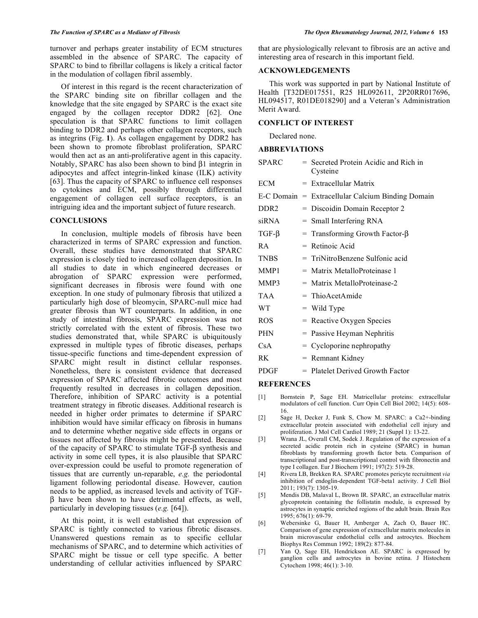turnover and perhaps greater instability of ECM structures assembled in the absence of SPARC. The capacity of SPARC to bind to fibrillar collagens is likely a critical factor in the modulation of collagen fibril assembly.

 Of interest in this regard is the recent characterization of the SPARC binding site on fibrillar collagen and the knowledge that the site engaged by SPARC is the exact site engaged by the collagen receptor DDR2 [62]. One speculation is that SPARC functions to limit collagen binding to DDR2 and perhaps other collagen receptors, such as integrins (Fig. **1**). As collagen engagement by DDR2 has been shown to promote fibroblast proliferation, SPARC would then act as an anti-proliferative agent in this capacity. Notably, SPARC has also been shown to bind  $\beta$ 1 integrin in adipocytes and affect integrin-linked kinase (ILK) activity [63]. Thus the capacity of SPARC to influence cell responses to cytokines and ECM, possibly through differential engagement of collagen cell surface receptors, is an intriguing idea and the important subject of future research.

### **CONCLUSIONS**

 In conclusion, multiple models of fibrosis have been characterized in terms of SPARC expression and function. Overall, these studies have demonstrated that SPARC expression is closely tied to increased collagen deposition. In all studies to date in which engineered decreases or abrogation of SPARC expression were performed, significant decreases in fibrosis were found with one exception. In one study of pulmonary fibrosis that utilized a particularly high dose of bleomycin, SPARC-null mice had greater fibrosis than WT counterparts. In addition, in one study of intestinal fibrosis, SPARC expression was not strictly correlated with the extent of fibrosis. These two studies demonstrated that, while SPARC is ubiquitously expressed in multiple types of fibrotic diseases, perhaps tissue-specific functions and time-dependent expression of SPARC might result in distinct cellular responses. Nonetheless, there is consistent evidence that decreased expression of SPARC affected fibrotic outcomes and most frequently resulted in decreases in collagen deposition. Therefore, inhibition of SPARC activity is a potential treatment strategy in fibrotic diseases. Additional research is needed in higher order primates to determine if SPARC inhibition would have similar efficacy on fibrosis in humans and to determine whether negative side effects in organs or tissues not affected by fibrosis might be presented. Because of the capacity of SPARC to stimulate  $TGF- $\beta$  synthesis and$ activity in some cell types, it is also plausible that SPARC over-expression could be useful to promote regeneration of tissues that are currently un-reparable, *e.g.* the periodontal ligament following periodontal disease. However, caution needs to be applied, as increased levels and activity of TGF-  $\beta$  have been shown to have detrimental effects, as well, particularly in developing tissues (*e.g.* [64]).

 At this point, it is well established that expression of SPARC is tightly connected to various fibrotic diseases. Unanswered questions remain as to specific cellular mechanisms of SPARC, and to determine which activities of SPARC might be tissue or cell type specific. A better understanding of cellular activities influenced by SPARC

that are physiologically relevant to fibrosis are an active and interesting area of research in this important field.

# **ACKNOWLEDGEMENTS**

 This work was supported in part by National Institute of Health [T32DE017551, R25 HL092611, 2P20RR017696, HL094517, R01DE018290] and a Veteran's Administration Merit Award.

#### **CONFLICT OF INTEREST**

Declared none.

# **ABBREVIATIONS**

| SPARC            | = Secreted Protein Acidic and Rich in<br>Cysteine   |
|------------------|-----------------------------------------------------|
| ECM              | = Extracellular Matrix                              |
|                  | $E-C$ Domain = Extracellular Calcium Binding Domain |
| DDR <sub>2</sub> | = Discoidin Domain Receptor 2                       |
| siRNA            | $=$ Small Interfering RNA                           |
| $TGF-\beta$      | = Transforming Growth Factor- $\beta$               |
| R A              | $=$ Retinoic Acid                                   |
| <b>TNBS</b>      | $=$ TriNitroBenzene Sulfonic acid                   |
| MMP1             | = Matrix MetalloProteinase 1                        |
| MMP3             | = Matrix MetalloProteinase-2                        |
| <b>TAA</b>       | $=$ ThioAcetAmide                                   |
| WT               | $=$ Wild Type                                       |
| <b>ROS</b>       | $=$ Reactive Oxygen Species                         |
| <b>PHN</b>       | = Passive Heyman Nephritis                          |
| CsA              | $=$ Cycloporine nephropathy                         |
| RK.              | = Remnant Kidney                                    |
| PDGF             | = Platelet Derived Growth Factor                    |

#### **REFERENCES**

- [1] Bornstein P, Sage EH. Matricellular proteins: extracellular modulators of cell function. Curr Opin Cell Biol 2002; 14(5): 608- 16.
- [2] Sage H, Decker J, Funk S, Chow M. SPARC: a Ca2+-binding extracellular protein associated with endothelial cell injury and proliferation. J Mol Cell Cardiol 1989; 21 (Suppl 1): 13-22.
- [3] Wrana JL, Overall CM, Sodek J. Regulation of the expression of a secreted acidic protein rich in cysteine (SPARC) in human fibroblasts by transforming growth factor beta. Comparison of transcriptional and post-transcriptional control with fibronectin and type I collagen. Eur J Biochem 1991; 197(2): 519-28.
- [4] Rivera LB, Brekken RA. SPARC promotes pericyte recruitment *via*  inhibition of endoglin-dependent TGF-beta1 activity. J Cell Biol 2011; 193(7): 1305-19.
- [5] Mendis DB, Malaval L, Brown IR. SPARC, an extracellular matrix glycoprotein containing the follistatin module, is expressed by astrocytes in synaptic enriched regions of the adult brain. Brain Res 1995; 676(1): 69-79.
- [6] Webersinke G, Bauer H, Amberger A, Zach O, Bauer HC. Comparison of gene expression of extracellular matrix molecules in brain microvascular endothelial cells and astrocytes. Biochem Biophys Res Commun 1992; 189(2): 877-84.
- [7] Yan Q, Sage EH, Hendrickson AE. SPARC is expressed by ganglion cells and astrocytes in bovine retina. J Histochem Cytochem 1998; 46(1): 3-10.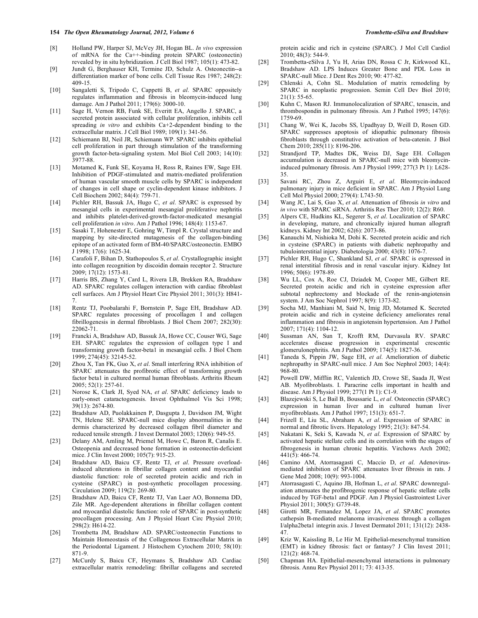#### **154** *The Open Rheumatology Journal, 2012, Volume 6* **The Second 2012 <b>Trombetta-eSilva and Bradshaw Trombetta-eSilva and Bradshaw**

- [8] Holland PW, Harper SJ, McVey JH, Hogan BL. *In vivo* expression of mRNA for the Ca++-binding protein SPARC (osteonectin) revealed by in situ hybridization. J Cell Biol 1987; 105(1): 473-82.
- [9] Jundt G, Berghauser KH, Termine JD, Schulz A. Osteonectin--a differentiation marker of bone cells. Cell Tissue Res 1987; 248(2): 409-15.
- [10] Sangaletti S, Tripodo C, Cappetti B, *et al*. SPARC oppositely regulates inflammation and fibrosis in bleomycin-induced lung damage. Am J Pathol 2011; 179(6): 3000-10.
- [11] Sage H, Vernon RB, Funk SE, Everitt EA, Angello J. SPARC, a secreted protein associated with cellular proliferation, inhibits cell spreading *in vitro* and exhibits Ca+2-dependent binding to the extracellular matrix. J Cell Biol 1989; 109(1): 341-56.
- [12] Schiemann BJ, Neil JR, Schiemann WP. SPARC inhibits epithelial cell proliferation in part through stimulation of the transforming growth factor-beta-signaling system. Mol Biol Cell 2003; 14(10): 3977-88.
- [13] Motamed K, Funk SE, Koyama H, Ross R, Raines EW, Sage EH. Inhibition of PDGF-stimulated and matrix-mediated proliferation of human vascular smooth muscle cells by SPARC is independent of changes in cell shape or cyclin-dependent kinase inhibitors. J Cell Biochem 2002; 84(4): 759-71.
- [14] Pichler RH, Bassuk JA, Hugo C, *et al*. SPARC is expressed by mesangial cells in experimental mesangial proliferative nephritis and inhibits platelet-derived-growth-factor-medicated mesangial cell proliferation *in vitro*. Am J Pathol 1996; 148(4): 1153-67.
- [15] Sasaki T, Hohenester E, Gohring W, Timpl R. Crystal structure and mapping by site-directed mutagenesis of the collagen-binding epitope of an activated form of BM-40/SPARC/osteonectin. EMBO J 1998; 17(6): 1625-34.
- [16] Carafoli F, Bihan D, Stathopoulos S, *et al*. Crystallographic insight into collagen recognition by discoidin domain receptor 2. Structure 2009; 17(12): 1573-81.
- [17] Harris BS, Zhang Y, Card L, Rivera LB, Brekken RA, Bradshaw AD. SPARC regulates collagen interaction with cardiac fibroblast cell surfaces. Am J Physiol Heart Circ Physiol 2011; 301(3): H841- 7.
- [18] Rentz TJ, Poobalarahi F, Bornstein P, Sage EH, Bradshaw AD. SPARC regulates processing of procollagen I and collagen fibrillogenesis in dermal fibroblasts. J Biol Chem 2007; 282(30): 22062-71.
- [19] Francki A, Bradshaw AD, Bassuk JA, Howe CC, Couser WG, Sage EH. SPARC regulates the expression of collagen type I and transforming growth factor-beta1 in mesangial cells. J Biol Chem 1999; 274(45): 32145-52.
- [20] Zhou X, Tan FK, Guo X, *et al*. Small interfering RNA inhibition of SPARC attenuates the profibrotic effect of transforming growth factor beta1 in cultured normal human fibroblasts. Arthritis Rheum 2005; 52(1): 257-61.
- [21] Norose K, Clark JI, Syed NA, *et al*. SPARC deficiency leads to early-onset cataractogenesis. Invest Ophthalmol Vis Sci 1998; 39(13): 2674-80.
- [22] Bradshaw AD, Puolakkainen P, Dasgupta J, Davidson JM, Wight TN, Helene SE. SPARC-null mice display abnormalities in the dermis characterized by decreased collagen fibril diameter and reduced tensile strength. J Invest Dermatol 2003; 120(6): 949-55.
- [23] Delany AM, Amling M, Priemel M, Howe C, Baron R, Canalis E. Osteopenia and decreased bone formation in osteonectin-deficient mice. J Clin Invest 2000; 105(7): 915-23.
- [24] Bradshaw AD, Baicu CF, Rentz TJ, *et al*. Pressure overloadinduced alterations in fibrillar collagen content and myocardial diastolic function: role of secreted protein acidic and rich in cysteine (SPARC) in post-synthetic procollagen processing. Circulation 2009; 119(2): 269-80.
- [25] Bradshaw AD, Baicu CF, Rentz TJ, Van Laer AO, Bonnema DD, Zile MR. Age-dependent alterations in fibrillar collagen content and myocardial diastolic function: role of SPARC in post-synthetic procollagen processing. Am J Physiol Heart Circ Physiol 2010; 298(2): H614-22.
- [26] Trombetta JM, Bradshaw AD. SPARC/osteonectin Functions to Maintain Homeostasis of the Collagenous Extracellular Matrix in the Periodontal Ligament. J Histochem Cytochem 2010; 58(10): 871-9.
- [27] McCurdy S, Baicu CF, Heymans S, Bradshaw AD. Cardiac extracellular matrix remodeling: fibrillar collagens and secreted

protein acidic and rich in cysteine (SPARC). J Mol Cell Cardiol 2010; 48(3): 544-9.

- [28] Trombetta-eSilva J, Yu H, Arias DN, Rossa C Jr, Kirkwood KL, Bradshaw AD. LPS Induces Greater Bone and PDL Loss in SPARC-null Mice. J Dent Res 2010; 90: 477-82.
- [29] Chlenski A, Cohn SL. Modulation of matrix remodeling by SPARC in neoplastic progression. Semin Cell Dev Biol 2010;  $21(1): 55-65.$
- [30] Kuhn C, Mason RJ. Immunolocalization of SPARC, tenascin, and thrombospondin in pulmonary fibrosis. Am J Pathol 1995; 147(6): 1759-69.
- [31] Chang W, Wei K, Jacobs SS, Upadhyay D, Weill D, Rosen GD. SPARC suppresses apoptosis of idiopathic pulmonary fibrosis fibroblasts through constitutive activation of beta-catenin. J Biol Chem 2010; 285(11): 8196-206.
- [32] Strandjord TP, Madtes DK, Weiss DJ, Sage EH. Collagen accumulation is decreased in SPARC-null mice with bleomycininduced pulmonary fibrosis. Am J Physiol 1999; 277(3 Pt 1): L628- 35.
- [33] Savani RC, Zhou Z, Arguiri E, *et al*. Bleomycin-induced pulmonary injury in mice deficient in SPARC. Am J Physiol Lung Cell Mol Physiol 2000; 279(4): L743-50.
- [34] Wang JC, Lai S, Guo X, *et al*. Attenuation of fibrosis *in vitro* and *in vivo* with SPARC siRNA. Arthritis Res Ther 2010; 12(2): R60.
- [35] Alpers CE, Hudkins KL, Segerer S, *et al*. Localization of SPARC in developing, mature, and chronically injured human allograft kidneys. Kidney Int 2002; 62(6): 2073-86.
- [36] Kanauchi M, Nishioka M, Dohi K. Secreted protein acidic and rich in cysteine (SPARC) in patients with diabetic nephropathy and tubulointerstitial injury. Diabetologia 2000; 43(8): 1076-7.
- [37] Pichler RH, Hugo C, Shankland SJ, *et al*. SPARC is expressed in renal interstitial fibrosis and in renal vascular injury. Kidney Int 1996; 50(6): 1978-89.
- [38] Wu LL, Cox A, Roe CJ, Dziadek M, Cooper ME, Gilbert RE. Secreted protein acidic and rich in cysteine expression after subtotal nephrectomy and blockade of the renin-angiotensin system. J Am Soc Nephrol 1997; 8(9): 1373-82.
- [39] Socha MJ, Manhiani M, Said N, Imig JD, Motamed K. Secreted protein acidic and rich in cysteine deficiency ameliorates renal inflammation and fibrosis in angiotensin hypertension. Am J Pathol 2007; 171(4): 1104-12.
- [40] Sussman AN, Sun T, Krofft RM, Durvasula RV. SPARC accelerates disease progression in experimental crescentic glomerulonephritis. Am J Pathol 2009; 174(5): 1827-36.
- [41] Taneda S, Pippin JW, Sage EH, *et al*. Amelioration of diabetic nephropathy in SPARC-null mice. J Am Soc Nephrol 2003; 14(4): 968-80.
- [42] Powell DW, Mifflin RC, Valentich JD, Crowe SE, Saada JI, West AB. Myofibroblasts. I. Paracrine cells important in health and disease. Am J Physiol 1999; 277(1 Pt 1): C1-9.
- [43] Blazejewski S, Le Bail B, Boussarie L, *et al*. Osteonectin (SPARC) expression in human liver and in cultured human liver myofibroblasts. Am J Pathol 1997; 151(3): 651-7.
- [44] Frizell E, Liu SL, Abraham A, *et al*. Expression of SPARC in normal and fibrotic livers. Hepatology 1995; 21(3): 847-54.
- [45] Nakatani K, Seki S, Kawada N, *et al*. Expression of SPARC by activated hepatic stellate cells and its correlation with the stages of fibrogenesis in human chronic hepatitis. Virchows Arch 2002; 441(5): 466-74.
- [46] Camino AM, Atorrasagasti C, Maccio D, *et al*. Adenovirusmediated inhibition of SPARC attenuates liver fibrosis in rats. J Gene Med 2008; 10(9): 993-1004.
- [47] Atorrasagasti C, Aquino JB, Hofman L, *et al*. SPARC downregulation attenuates the profibrogenic response of hepatic stellate cells induced by TGF-beta1 and PDGF. Am J Physiol Gastrointest Liver Physiol 2011; 300(5): G739-48.
- [48] Girotti MR, Fernandez M, Lopez JA, *et al*. SPARC promotes cathepsin B-mediated melanoma invasiveness through a collagen I/alpha2beta1 integrin axis. J Invest Dermatol 2011; 131(12): 2438- 47.
- [49] Kriz W, Kaissling B, Le Hir M. Epithelial-mesenchymal transition (EMT) in kidney fibrosis: fact or fantasy? J Clin Invest 2011; 121(2): 468-74.
- [50] Chapman HA. Epithelial-mesenchymal interactions in pulmonary fibrosis. Annu Rev Physiol 2011; 73: 413-35.